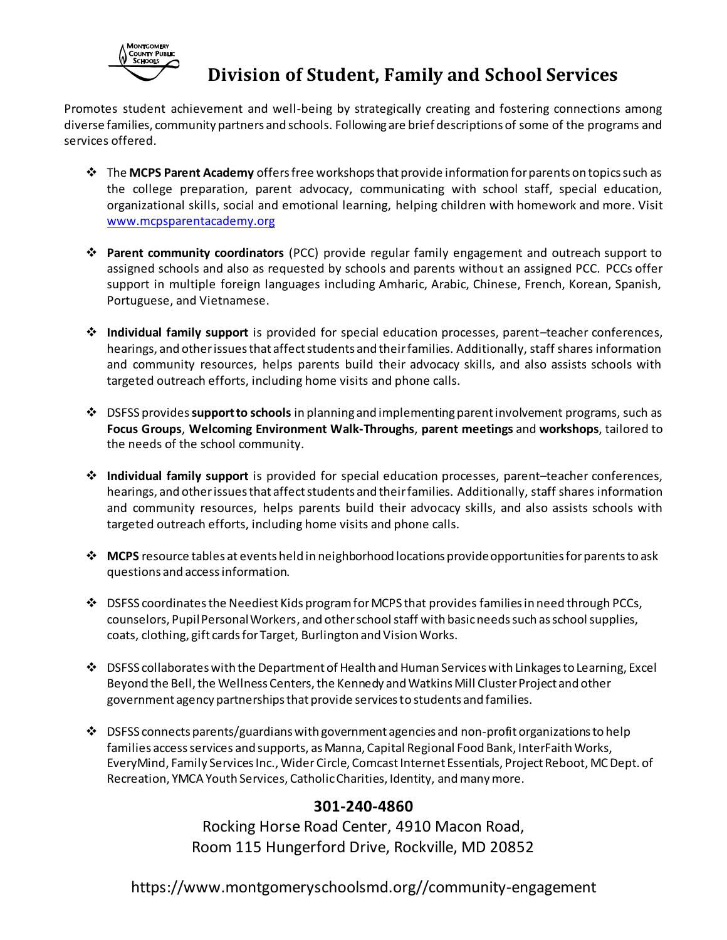

## **Division of Student, Family and School Services**

Promotes student achievement and well-being by strategically creating and fostering connections among diverse families, community partners and schools. Following are brief descriptions of some of the programs and services offered.

- The **MCPS Parent Academy** offers free workshops that provide information for parents on topics such as the college preparation, parent advocacy, communicating with school staff, special education, organizational skills, social and emotional learning, helping children with homework and more. Visit [www.mcpsparentacademy.org](http://www.mcpsparentacademy.org/)
- **Parent community coordinators** (PCC) provide regular family engagement and outreach support to assigned schools and also as requested by schools and parents without an assigned PCC. PCCs offer support in multiple foreign languages including Amharic, Arabic, Chinese, French, Korean, Spanish, Portuguese, and Vietnamese.
- **Individual family support** is provided for special education processes, parent–teacher conferences, hearings, and other issues that affect students and their families. Additionally, staff shares information and community resources, helps parents build their advocacy skills, and also assists schools with targeted outreach efforts, including home visits and phone calls.
- DSFSS provides**support to schools** in planning and implementing parent involvement programs, such as **Focus Groups**, **Welcoming Environment Walk-Throughs**, **parent meetings** and **workshops**, tailored to the needs of the school community.
- **Individual family support** is provided for special education processes, parent–teacher conferences, hearings, and other issues that affect students and their families. Additionally, staff shares information and community resources, helps parents build their advocacy skills, and also assists schools with targeted outreach efforts, including home visits and phone calls.
- **MCPS** resource tables at events held in neighborhood locations provide opportunities for parents to ask questions and access information.
- $\clubsuit$  DSFSS coordinates the Neediest Kids program for MCPS that provides families in need through PCCs, counselors, Pupil Personal Workers, and other school staff with basic needs such as school supplies, coats, clothing, gift cards for Target, Burlington and Vision Works.
- $\clubsuit$  DSFSS collaborates with the Department of Health and Human Services with Linkages to Learning, Excel Beyond the Bell, the Wellness Centers, the Kennedy and Watkins Mill Cluster Project and other government agency partnerships that provide services to students and families.
- $\div$  DSFSS connects parents/guardians with government agencies and non-profit organizations to help families access services and supports, as Manna, Capital Regional Food Bank, InterFaith Works, EveryMind, Family Services Inc., Wider Circle, Comcast Internet Essentials, Project Reboot, MC Dept. of Recreation, YMCA Youth Services, Catholic Charities, Identity, and many more.

## **301-240-4860**

Rocking Horse Road Center, 4910 Macon Road, Room 115 Hungerford Drive, Rockville, MD 20852